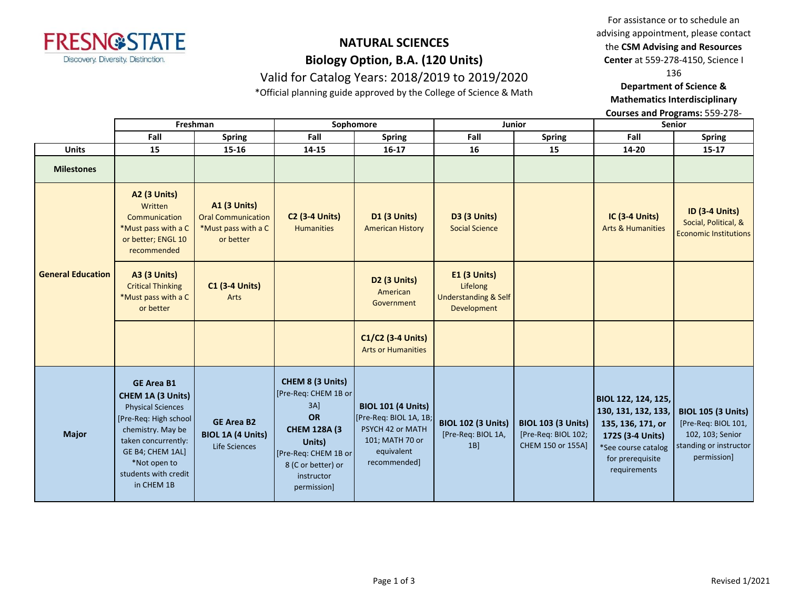

# **NATURAL SCIENCES Biology Option, B.A. (120 Units)** Valid for Catalog Years: 2018/2019 to 2019/2020

\*Official planning guide approved by the College of Science & Math

For assistance or to schedule an advising appointment, please contact the **CSM Advising and Resources** 

**Center** at 559-278-4150, Science I

136

#### **Department of Science & Mathematics Interdisciplinary**

**Courses and Programs:** 559-278-

|                          | Freshman                                                                                                                                                                                                           |                                                                                      | Sophomore                                                                                                                                                              |                                                                                                                          | Junior                                                                       |                                                                       | <b>Senior</b>                                                                                                                                  |                                                                                                               |
|--------------------------|--------------------------------------------------------------------------------------------------------------------------------------------------------------------------------------------------------------------|--------------------------------------------------------------------------------------|------------------------------------------------------------------------------------------------------------------------------------------------------------------------|--------------------------------------------------------------------------------------------------------------------------|------------------------------------------------------------------------------|-----------------------------------------------------------------------|------------------------------------------------------------------------------------------------------------------------------------------------|---------------------------------------------------------------------------------------------------------------|
|                          | Fall                                                                                                                                                                                                               | <b>Spring</b>                                                                        | Fall                                                                                                                                                                   | <b>Spring</b>                                                                                                            | Fall                                                                         | <b>Spring</b>                                                         | Fall                                                                                                                                           | <b>Spring</b>                                                                                                 |
| <b>Units</b>             | 15                                                                                                                                                                                                                 | 15-16                                                                                | 14-15                                                                                                                                                                  | $16-17$                                                                                                                  | 16                                                                           | 15                                                                    | 14-20                                                                                                                                          | $15 - 17$                                                                                                     |
| <b>Milestones</b>        |                                                                                                                                                                                                                    |                                                                                      |                                                                                                                                                                        |                                                                                                                          |                                                                              |                                                                       |                                                                                                                                                |                                                                                                               |
| <b>General Education</b> | <b>A2 (3 Units)</b><br>Written<br>Communication<br>*Must pass with a C<br>or better; ENGL 10<br>recommended                                                                                                        | <b>A1 (3 Units)</b><br><b>Oral Communication</b><br>*Must pass with a C<br>or better | <b>C2 (3-4 Units)</b><br><b>Humanities</b>                                                                                                                             | <b>D1 (3 Units)</b><br><b>American History</b>                                                                           | <b>D3 (3 Units)</b><br><b>Social Science</b>                                 |                                                                       | IC (3-4 Units)<br><b>Arts &amp; Humanities</b>                                                                                                 | <b>ID (3-4 Units)</b><br>Social, Political, &<br><b>Economic Institutions</b>                                 |
|                          | <b>A3 (3 Units)</b><br><b>Critical Thinking</b><br>*Must pass with a C<br>or better                                                                                                                                | <b>C1 (3-4 Units)</b><br>Arts                                                        |                                                                                                                                                                        | <b>D2 (3 Units)</b><br>American<br>Government                                                                            | $E1$ (3 Units)<br>Lifelong<br><b>Understanding &amp; Self</b><br>Development |                                                                       |                                                                                                                                                |                                                                                                               |
|                          |                                                                                                                                                                                                                    |                                                                                      |                                                                                                                                                                        | C1/C2 (3-4 Units)<br><b>Arts or Humanities</b>                                                                           |                                                                              |                                                                       |                                                                                                                                                |                                                                                                               |
| <b>Major</b>             | <b>GE Area B1</b><br>CHEM 1A (3 Units)<br><b>Physical Sciences</b><br>[Pre-Req: High school]<br>chemistry. May be<br>taken concurrently:<br>GE B4; CHEM 1AL]<br>*Not open to<br>students with credit<br>in CHEM 1B | <b>GE Area B2</b><br><b>BIOL 1A (4 Units)</b><br>Life Sciences                       | CHEM 8 (3 Units)<br>[Pre-Req: CHEM 1B or<br>$3A$ ]<br>OR<br><b>CHEM 128A (3)</b><br>Units)<br>[Pre-Req: CHEM 1B or]<br>8 (C or better) or<br>instructor<br>permission] | <b>BIOL 101 (4 Units)</b><br>[Pre-Req: BIOL 1A, 1B;<br>PSYCH 42 or MATH<br>101; MATH 70 or<br>equivalent<br>recommended] | <b>BIOL 102 (3 Units)</b><br>[Pre-Req: BIOL 1A,<br>1B                        | <b>BIOL 103 (3 Units)</b><br>[Pre-Req: BIOL 102;<br>CHEM 150 or 155A] | BIOL 122, 124, 125,<br>130, 131, 132, 133,<br>135, 136, 171, or<br>172S (3-4 Units)<br>*See course catalog<br>for prerequisite<br>requirements | <b>BIOL 105 (3 Units)</b><br>[Pre-Req: BIOL 101,<br>102, 103; Senior<br>standing or instructor<br>permission] |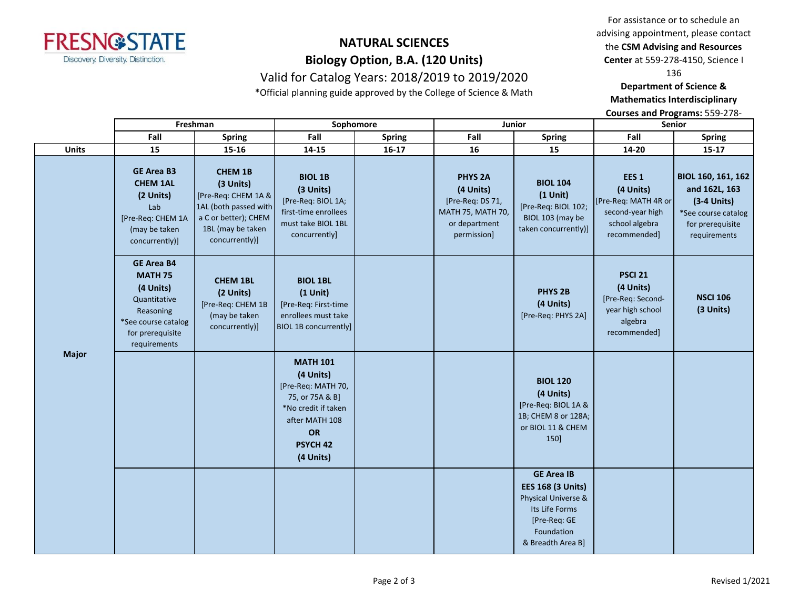

# **NATURAL SCIENCES Biology Option, B.A. (120 Units)** Valid for Catalog Years: 2018/2019 to 2019/2020

\*Official planning guide approved by the College of Science & Math

For assistance or to schedule an advising appointment, please contact the **CSM Advising and Resources** 

**Center** at 559-278-4150, Science I

136

### **Department of Science & Mathematics Interdisciplinary**

**Courses and Programs:** 559-278-

|              | Freshman                                                                                                                                 |                                                                                                                                            | Sophomore                                                                                                                                                |               | Junior                                                                                                      |                                                                                                                                           | Senior                                                                                                      |                                                                                                                 |
|--------------|------------------------------------------------------------------------------------------------------------------------------------------|--------------------------------------------------------------------------------------------------------------------------------------------|----------------------------------------------------------------------------------------------------------------------------------------------------------|---------------|-------------------------------------------------------------------------------------------------------------|-------------------------------------------------------------------------------------------------------------------------------------------|-------------------------------------------------------------------------------------------------------------|-----------------------------------------------------------------------------------------------------------------|
|              | Fall                                                                                                                                     | <b>Spring</b>                                                                                                                              | Fall                                                                                                                                                     | <b>Spring</b> | Fall                                                                                                        | <b>Spring</b>                                                                                                                             | Fall                                                                                                        | <b>Spring</b>                                                                                                   |
| <b>Units</b> | 15                                                                                                                                       | 15-16                                                                                                                                      | 14-15                                                                                                                                                    | $16-17$       | 16                                                                                                          | 15                                                                                                                                        | 14-20                                                                                                       | $15 - 17$                                                                                                       |
| Major        | <b>GE Area B3</b><br><b>CHEM 1AL</b><br>(2 Units)<br>Lab<br>[Pre-Req: CHEM 1A<br>(may be taken<br>concurrently)]                         | <b>CHEM 1B</b><br>(3 Units)<br>[Pre-Req: CHEM 1A &<br>1AL (both passed with<br>a C or better); CHEM<br>1BL (may be taken<br>concurrently)] | <b>BIOL 1B</b><br>(3 Units)<br>[Pre-Req: BIOL 1A;<br>first-time enrollees<br>must take BIOL 1BL<br>concurrently]                                         |               | <b>PHYS 2A</b><br>(4 Units)<br>[Pre-Req: DS 71,<br><b>MATH 75, MATH 70,</b><br>or department<br>permission] | <b>BIOL 104</b><br>$(1$ Unit)<br>[Pre-Req: BIOL 102;<br>BIOL 103 (may be<br>taken concurrently)]                                          | EES <sub>1</sub><br>(4 Units)<br>[Pre-Req: MATH 4R or<br>second-year high<br>school algebra<br>recommended] | BIOL 160, 161, 162<br>and 162L, 163<br>$(3-4$ Units)<br>*See course catalog<br>for prerequisite<br>requirements |
|              | <b>GE Area B4</b><br><b>MATH 75</b><br>(4 Units)<br>Quantitative<br>Reasoning<br>*See course catalog<br>for prerequisite<br>requirements | <b>CHEM 1BL</b><br>(2 Units)<br>[Pre-Req: CHEM 1B<br>(may be taken<br>concurrently)]                                                       | <b>BIOL 1BL</b><br>$(1$ Unit)<br>[Pre-Req: First-time<br>enrollees must take<br><b>BIOL 1B concurrently]</b>                                             |               |                                                                                                             | PHYS <sub>2B</sub><br>(4 Units)<br>[Pre-Req: PHYS 2A]                                                                                     | <b>PSCI 21</b><br>(4 Units)<br>[Pre-Req: Second-<br>year high school<br>algebra<br>recommended]             | <b>NSCI 106</b><br>(3 Units)                                                                                    |
|              |                                                                                                                                          |                                                                                                                                            | <b>MATH 101</b><br>(4 Units)<br>[Pre-Req: MATH 70,<br>75, or 75A & B]<br>*No credit if taken<br>after MATH 108<br>OR<br>PSYCH <sub>42</sub><br>(4 Units) |               |                                                                                                             | <b>BIOL 120</b><br>(4 Units)<br>[Pre-Req: BIOL 1A &<br>1B; CHEM 8 or 128A;<br>or BIOL 11 & CHEM<br>150]                                   |                                                                                                             |                                                                                                                 |
|              |                                                                                                                                          |                                                                                                                                            |                                                                                                                                                          |               |                                                                                                             | <b>GE Area IB</b><br><b>EES 168 (3 Units)</b><br>Physical Universe &<br>Its Life Forms<br>[Pre-Req: GE<br>Foundation<br>& Breadth Area B] |                                                                                                             |                                                                                                                 |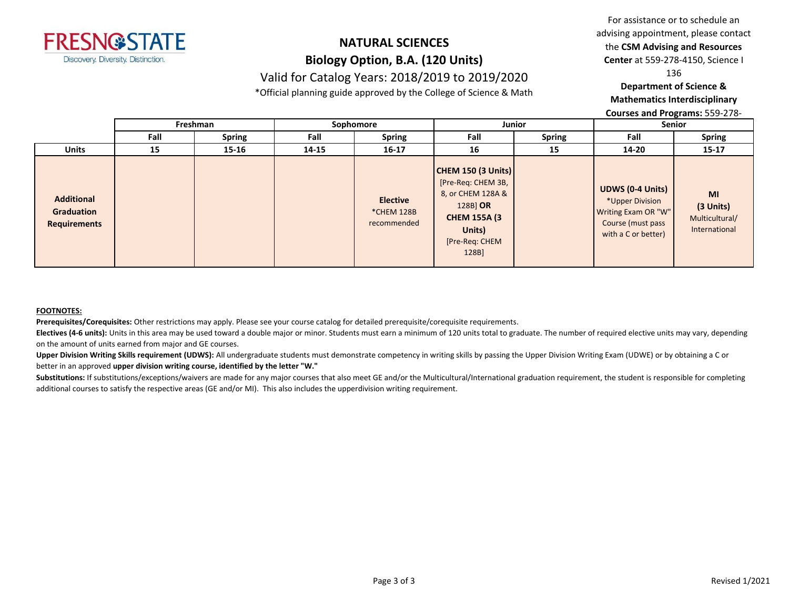

## **NATURAL SCIENCES Biology Option, B.A. (120 Units)** Valid for Catalog Years: 2018/2019 to 2019/2020

\*Official planning guide approved by the College of Science & Math

For assistance or to schedule an advising appointment, please contact the **CSM Advising and Resources Center** at 559-278-4150, Science I

136

### **Department of Science & Mathematics Interdisciplinary**

**Courses and Programs:** 559-278-

|                                                        | Freshman |               | Sophomore |                                              | <b>Junior</b>                                                                                                                                |               | Senior                                                                                                        |                                                    |
|--------------------------------------------------------|----------|---------------|-----------|----------------------------------------------|----------------------------------------------------------------------------------------------------------------------------------------------|---------------|---------------------------------------------------------------------------------------------------------------|----------------------------------------------------|
|                                                        | Fall     | <b>Spring</b> | Fall      | <b>Spring</b>                                | Fall                                                                                                                                         | <b>Spring</b> | Fall                                                                                                          | <b>Spring</b>                                      |
| <b>Units</b>                                           | 15       | 15-16         | 14-15     | $16 - 17$                                    | 16                                                                                                                                           | 15            | 14-20                                                                                                         | $15 - 17$                                          |
| <b>Additional</b><br>Graduation<br><b>Requirements</b> |          |               |           | <b>Elective</b><br>*CHEM 128B<br>recommended | <b>CHEM 150 (3 Units)</b><br>[Pre-Req: CHEM 3B,<br>8, or CHEM 128A &<br>128B OR<br><b>CHEM 155A (3)</b><br>Units)<br>[Pre-Req: CHEM<br>128B] |               | <b>UDWS (0-4 Units)</b><br>*Upper Division<br>Writing Exam OR "W"<br>Course (must pass<br>with a C or better) | MI<br>(3 Units)<br>Multicultural/<br>International |

#### **FOOTNOTES:**

**Prerequisites/Corequisites:** Other restrictions may apply. Please see your course catalog for detailed prerequisite/corequisite requirements.

Electives (4-6 units): Units in this area may be used toward a double major or minor. Students must earn a minimum of 120 units total to graduate. The number of required elective units may vary, depending on the amount of units earned from major and GE courses.

Upper Division Writing Skills requirement (UDWS): All undergraduate students must demonstrate competency in writing skills by passing the Upper Division Writing Exam (UDWE) or by obtaining a C or better in an approved **upper division writing course, identified by the letter "W."**

Substitutions: If substitutions/exceptions/waivers are made for any major courses that also meet GE and/or the Multicultural/International graduation requirement, the student is responsible for completing additional courses to satisfy the respective areas (GE and/or MI). This also includes the upperdivision writing requirement.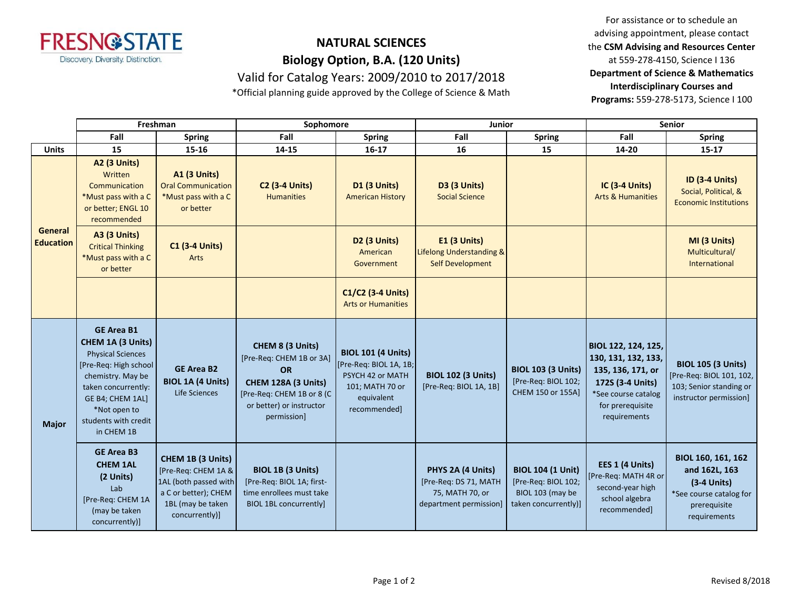

# **NATURAL SCIENCES Biology Option, B.A. (120 Units)**

Valid for Catalog Years: 2009/2010 to 2017/2018

\*Official planning guide approved by the College of Science & Math

For assistance or to schedule an advising appointment, please contact the **CSM Advising and Resources Center**  at 559-278-4150, Science I 136 **Department of Science & Mathematics Interdisciplinary Courses and Programs:** 559-278-5173, Science I 100

|                                    | Freshman                                                                                                                                                                                                                 |                                                                                                                                  | Sophomore                                                                                                                                                |                                                                                                                          | <b>Junior</b>                                                                           |                                                                                             | <b>Senior</b>                                                                                                                                  |                                                                                                                 |
|------------------------------------|--------------------------------------------------------------------------------------------------------------------------------------------------------------------------------------------------------------------------|----------------------------------------------------------------------------------------------------------------------------------|----------------------------------------------------------------------------------------------------------------------------------------------------------|--------------------------------------------------------------------------------------------------------------------------|-----------------------------------------------------------------------------------------|---------------------------------------------------------------------------------------------|------------------------------------------------------------------------------------------------------------------------------------------------|-----------------------------------------------------------------------------------------------------------------|
|                                    | Fall                                                                                                                                                                                                                     | <b>Spring</b>                                                                                                                    | Fall                                                                                                                                                     | <b>Spring</b>                                                                                                            | Fall                                                                                    | <b>Spring</b>                                                                               | Fall                                                                                                                                           | <b>Spring</b>                                                                                                   |
| <b>Units</b>                       | 15                                                                                                                                                                                                                       | 15-16                                                                                                                            | 14-15                                                                                                                                                    | $16 - 17$                                                                                                                | 16                                                                                      | 15                                                                                          | 14-20                                                                                                                                          | $15-17$                                                                                                         |
| <b>General</b><br><b>Education</b> | <b>A2 (3 Units)</b><br>Written<br>Communication<br>*Must pass with a C<br>or better; ENGL 10<br>recommended                                                                                                              | <b>A1 (3 Units)</b><br><b>Oral Communication</b><br>*Must pass with a C<br>or better                                             | <b>C2 (3-4 Units)</b><br><b>Humanities</b>                                                                                                               | <b>D1 (3 Units)</b><br><b>American History</b>                                                                           | D3 (3 Units)<br><b>Social Science</b>                                                   |                                                                                             | <b>IC (3-4 Units)</b><br><b>Arts &amp; Humanities</b>                                                                                          | <b>ID (3-4 Units)</b><br>Social, Political, &<br><b>Economic Institutions</b>                                   |
|                                    | <b>A3 (3 Units)</b><br><b>Critical Thinking</b><br>*Must pass with a C<br>or better                                                                                                                                      | <b>C1 (3-4 Units)</b><br>Arts                                                                                                    |                                                                                                                                                          | D <sub>2</sub> (3 Units)<br>American<br>Government                                                                       | <b>E1 (3 Units)</b><br>Lifelong Understanding &<br><b>Self Development</b>              |                                                                                             |                                                                                                                                                | MI (3 Units)<br>Multicultural/<br>International                                                                 |
|                                    |                                                                                                                                                                                                                          |                                                                                                                                  |                                                                                                                                                          | C1/C2 (3-4 Units)<br><b>Arts or Humanities</b>                                                                           |                                                                                         |                                                                                             |                                                                                                                                                |                                                                                                                 |
| <b>Major</b>                       | <b>GE Area B1</b><br><b>CHEM 1A (3 Units)</b><br><b>Physical Sciences</b><br>[Pre-Req: High school<br>chemistry. May be<br>taken concurrently:<br>GE B4; CHEM 1AL]<br>*Not open to<br>students with credit<br>in CHEM 1B | <b>GE Area B2</b><br><b>BIOL 1A (4 Units)</b><br>Life Sciences                                                                   | CHEM 8 (3 Units)<br>[Pre-Req: CHEM 1B or 3A]<br><b>OR</b><br>CHEM 128A (3 Units)<br>[Pre-Req: CHEM 1B or 8 (C<br>or better) or instructor<br>permission] | <b>BIOL 101 (4 Units)</b><br>[Pre-Req: BIOL 1A, 1B;<br>PSYCH 42 or MATH<br>101; MATH 70 or<br>equivalent<br>recommended] | <b>BIOL 102 (3 Units)</b><br>[Pre-Req: BIOL 1A, 1B]                                     | <b>BIOL 103 (3 Units)</b><br>[Pre-Req: BIOL 102;<br>CHEM 150 or 155Al                       | BIOL 122, 124, 125,<br>130, 131, 132, 133,<br>135, 136, 171, or<br>172S (3-4 Units)<br>*See course catalog<br>for prerequisite<br>requirements | <b>BIOL 105 (3 Units)</b><br>[Pre-Req: BIOL 101, 102,<br>103; Senior standing or<br>instructor permission]      |
|                                    | <b>GE Area B3</b><br><b>CHEM 1AL</b><br>(2 Units)<br>Lab<br>[Pre-Req: CHEM 1A<br>(may be taken<br>concurrently)]                                                                                                         | CHEM 1B (3 Units)<br>[Pre-Req: CHEM 1A &<br>1AL (both passed with<br>a C or better); CHEM<br>1BL (may be taken<br>concurrently)] | BIOL 1B (3 Units)<br>[Pre-Req: BIOL 1A; first-<br>time enrollees must take<br><b>BIOL 1BL concurrently]</b>                                              |                                                                                                                          | PHYS 2A (4 Units)<br>[Pre-Req: DS 71, MATH<br>75, MATH 70, or<br>department permission] | <b>BIOL 104 (1 Unit)</b><br>[Pre-Req: BIOL 102;<br>BIOL 103 (may be<br>taken concurrently)] | EES 1 (4 Units)<br>[Pre-Req: MATH 4R or<br>second-year high<br>school algebra<br>recommended]                                                  | BIOL 160, 161, 162<br>and 162L, 163<br>$(3-4$ Units)<br>*See course catalog for<br>prerequisite<br>requirements |